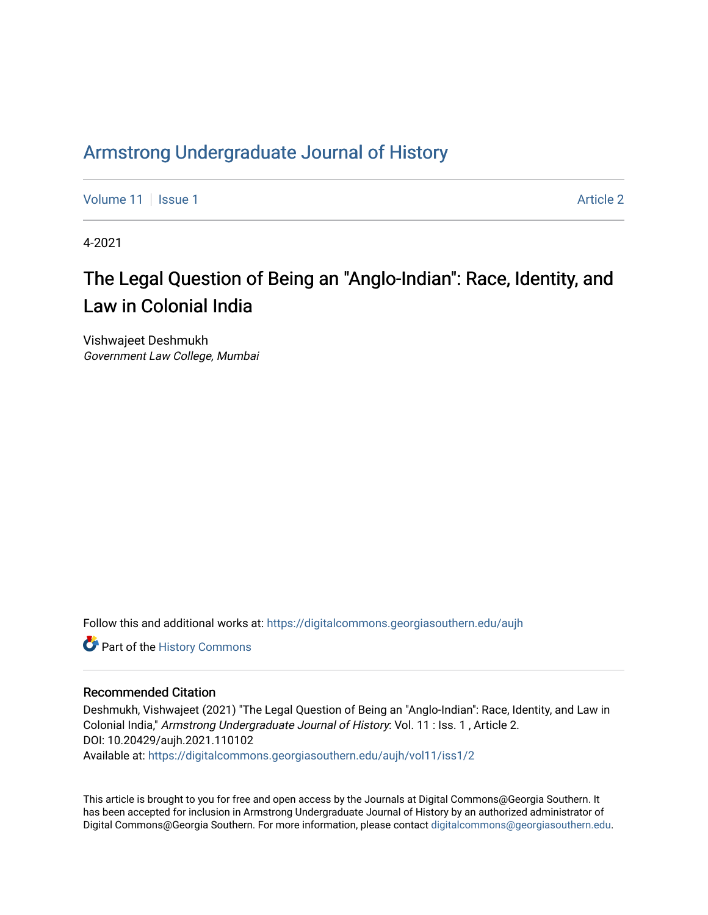# Armstr[ong Undergraduate Journal of Hist](https://digitalcommons.georgiasouthern.edu/aujh)ory

[Volume 11](https://digitalcommons.georgiasouthern.edu/aujh/vol11) | [Issue 1](https://digitalcommons.georgiasouthern.edu/aujh/vol11/iss1) Article 2

4-2021

# The Legal Question of Being an "Anglo-Indian": Race, Identity, and Law in Colonial India

Vishwajeet Deshmukh Government Law College, Mumbai

Follow this and additional works at: [https://digitalcommons.georgiasouthern.edu/aujh](https://digitalcommons.georgiasouthern.edu/aujh?utm_source=digitalcommons.georgiasouthern.edu%2Faujh%2Fvol11%2Fiss1%2F2&utm_medium=PDF&utm_campaign=PDFCoverPages) 

Part of the [History Commons](http://network.bepress.com/hgg/discipline/489?utm_source=digitalcommons.georgiasouthern.edu%2Faujh%2Fvol11%2Fiss1%2F2&utm_medium=PDF&utm_campaign=PDFCoverPages) 

#### Recommended Citation

Deshmukh, Vishwajeet (2021) "The Legal Question of Being an "Anglo-Indian": Race, Identity, and Law in Colonial India," Armstrong Undergraduate Journal of History: Vol. 11 : Iss. 1 , Article 2. DOI: 10.20429/aujh.2021.110102 Available at: [https://digitalcommons.georgiasouthern.edu/aujh/vol11/iss1/2](https://digitalcommons.georgiasouthern.edu/aujh/vol11/iss1/2?utm_source=digitalcommons.georgiasouthern.edu%2Faujh%2Fvol11%2Fiss1%2F2&utm_medium=PDF&utm_campaign=PDFCoverPages) 

This article is brought to you for free and open access by the Journals at Digital Commons@Georgia Southern. It has been accepted for inclusion in Armstrong Undergraduate Journal of History by an authorized administrator of Digital Commons@Georgia Southern. For more information, please contact [digitalcommons@georgiasouthern.edu.](mailto:digitalcommons@georgiasouthern.edu)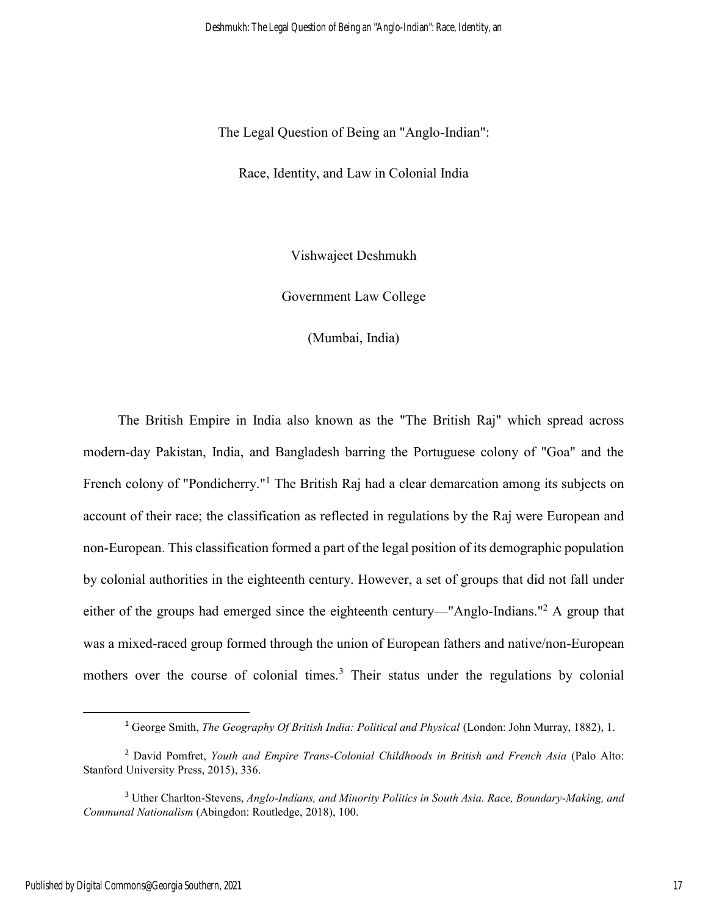The Legal Question of Being an "Anglo-Indian":

Race, Identity, and Law in Colonial India

Vishwajeet Deshmukh

Government Law College

(Mumbai, India)

 The British Empire in India also known as the "The British Raj" which spread across modern-day Pakistan, India, and Bangladesh barring the Portuguese colony of "Goa" and the French colony of "Pondicherry."<sup>1</sup> The British Raj had a clear demarcation among its subjects on account of their race; the classification as reflected in regulations by the Raj were European and non-European. This classification formed a part of the legal position of its demographic population by colonial authorities in the eighteenth century. However, a set of groups that did not fall under either of the groups had emerged since the eighteenth century—"Anglo-Indians."<sup>2</sup> A group that was a mixed-raced group formed through the union of European fathers and native/non-European mothers over the course of colonial times.<sup>3</sup> Their status under the regulations by colonial

<sup>&</sup>lt;sup>1</sup> George Smith, *The Geography Of British India: Political and Physical* (London: John Murray, 1882), 1.

<sup>2</sup> David Pomfret, *Youth and Empire Trans-Colonial Childhoods in British and French Asia* (Palo Alto: Stanford University Press, 2015), 336.

<sup>3</sup> Uther Charlton-Stevens, *Anglo-Indians, and Minority Politics in South Asia. Race, Boundary-Making, and Communal Nationalism* (Abingdon: Routledge, 2018), 100.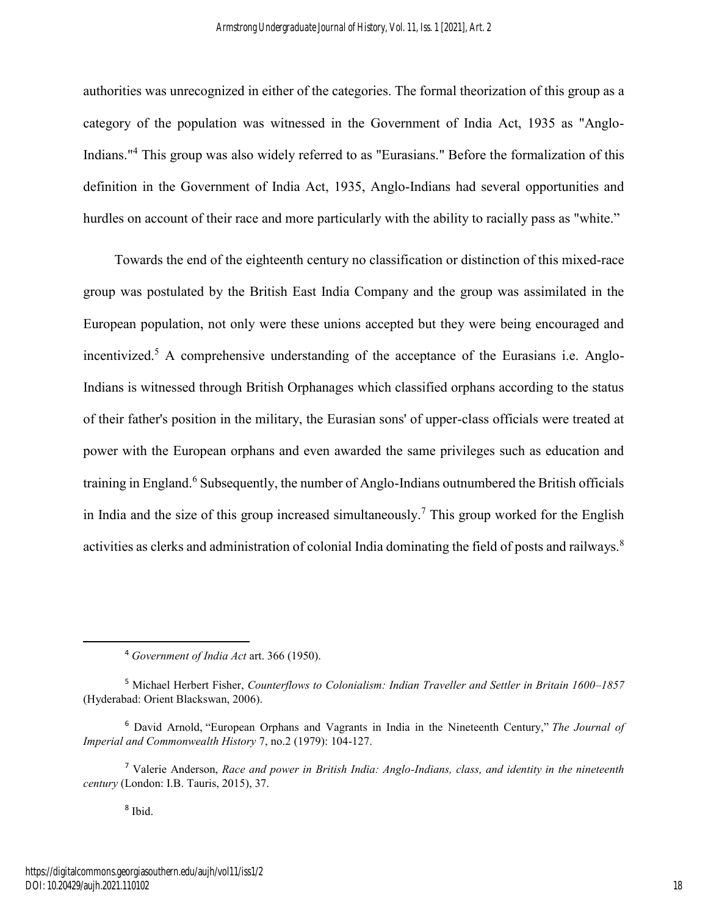authorities was unrecognized in either of the categories. The formal theorization of this group as a category of the population was witnessed in the Government of India Act, 1935 as "Anglo-Indians."<sup>4</sup> This group was also widely referred to as "Eurasians." Before the formalization of this definition in the Government of India Act, 1935, Anglo-Indians had several opportunities and hurdles on account of their race and more particularly with the ability to racially pass as "white."

 Towards the end of the eighteenth century no classification or distinction of this mixed-race group was postulated by the British East India Company and the group was assimilated in the European population, not only were these unions accepted but they were being encouraged and incentivized.<sup>5</sup> A comprehensive understanding of the acceptance of the Eurasians i.e. Anglo-Indians is witnessed through British Orphanages which classified orphans according to the status of their father's position in the military, the Eurasian sons' of upper-class officials were treated at power with the European orphans and even awarded the same privileges such as education and training in England.<sup>6</sup> Subsequently, the number of Anglo-Indians outnumbered the British officials in India and the size of this group increased simultaneously.<sup>7</sup> This group worked for the English activities as clerks and administration of colonial India dominating the field of posts and railways.<sup>8</sup>

8 Ibid.

<sup>4</sup> *Government of India Act* art. 366 (1950).

<sup>5</sup> Michael Herbert Fisher, *Counterflows to Colonialism: Indian Traveller and Settler in Britain 1600–1857* (Hyderabad: Orient Blackswan, 2006).

<sup>6</sup> David Arnold, "European Orphans and Vagrants in India in the Nineteenth Century," *The Journal of Imperial and Commonwealth History* 7, no.2 (1979): 104-127.

<sup>7</sup> Valerie Anderson, *Race and power in British India: Anglo-Indians, class, and identity in the nineteenth century* (London: I.B. Tauris, 2015), 37.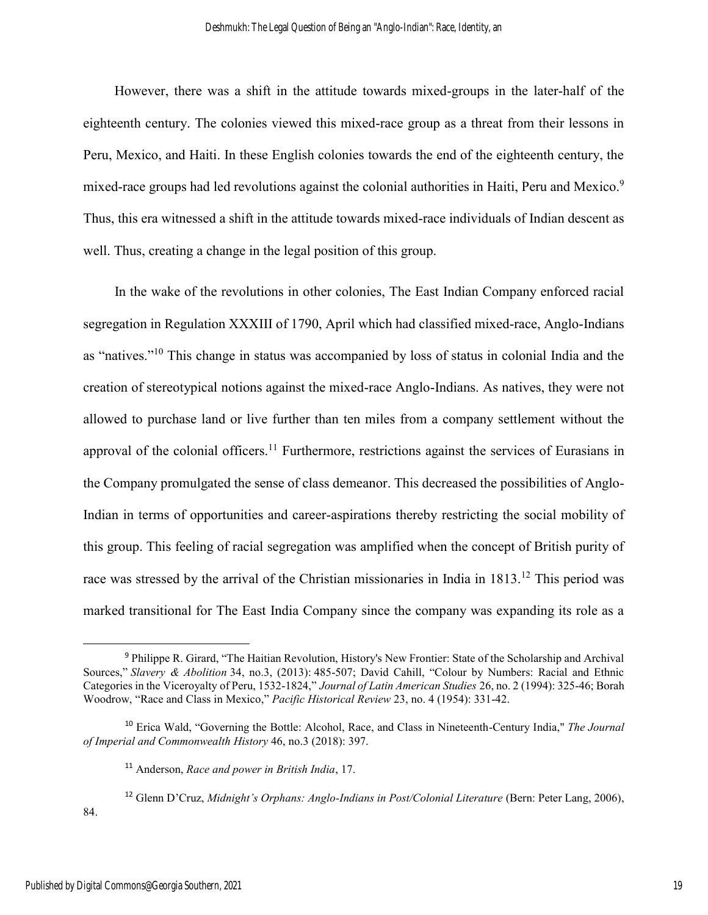However, there was a shift in the attitude towards mixed-groups in the later-half of the eighteenth century. The colonies viewed this mixed-race group as a threat from their lessons in Peru, Mexico, and Haiti. In these English colonies towards the end of the eighteenth century, the mixed-race groups had led revolutions against the colonial authorities in Haiti, Peru and Mexico.<sup>9</sup> Thus, this era witnessed a shift in the attitude towards mixed-race individuals of Indian descent as well. Thus, creating a change in the legal position of this group.

 In the wake of the revolutions in other colonies, The East Indian Company enforced racial segregation in Regulation XXXIII of 1790, April which had classified mixed-race, Anglo-Indians as "natives."<sup>10</sup> This change in status was accompanied by loss of status in colonial India and the creation of stereotypical notions against the mixed-race Anglo-Indians. As natives, they were not allowed to purchase land or live further than ten miles from a company settlement without the approval of the colonial officers.<sup>11</sup> Furthermore, restrictions against the services of Eurasians in the Company promulgated the sense of class demeanor. This decreased the possibilities of Anglo-Indian in terms of opportunities and career-aspirations thereby restricting the social mobility of this group. This feeling of racial segregation was amplified when the concept of British purity of race was stressed by the arrival of the Christian missionaries in India in 1813.<sup>12</sup> This period was marked transitional for The East India Company since the company was expanding its role as a

<sup>12</sup> Glenn D'Cruz, *Midnight's Orphans: Anglo-Indians in Post/Colonial Literature* (Bern: Peter Lang, 2006),

 $\overline{a}$ 

84.

<sup>&</sup>lt;sup>9</sup> Philippe R. Girard, "The Haitian Revolution, History's New Frontier: State of the Scholarship and Archival Sources," *Slavery & Abolition* 34, no.3, (2013): 485-507; David Cahill, "Colour by Numbers: Racial and Ethnic Categories in the Viceroyalty of Peru, 1532-1824," *Journal of Latin American Studies* 26, no. 2 (1994): 325-46; Borah Woodrow, "Race and Class in Mexico," *Pacific Historical Review* 23, no. 4 (1954): 331-42.

<sup>10</sup> Erica Wald, "Governing the Bottle: Alcohol, Race, and Class in Nineteenth-Century India," *The Journal of Imperial and Commonwealth History* 46, no.3 (2018): 397.

<sup>11</sup> Anderson, *Race and power in British India*, 17.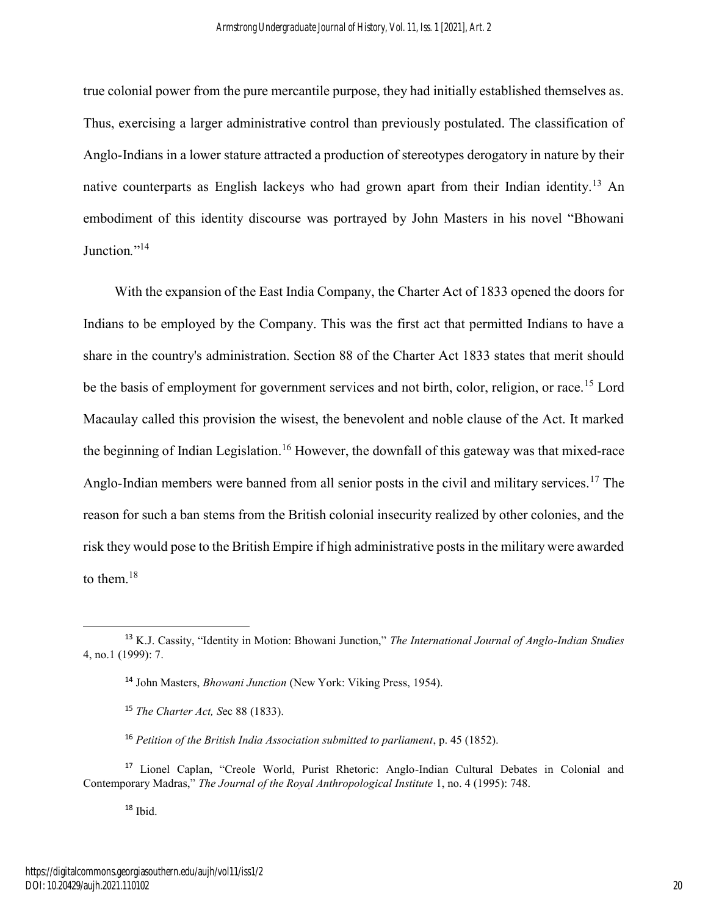true colonial power from the pure mercantile purpose, they had initially established themselves as. Thus, exercising a larger administrative control than previously postulated. The classification of Anglo-Indians in a lower stature attracted a production of stereotypes derogatory in nature by their native counterparts as English lackeys who had grown apart from their Indian identity.<sup>13</sup> An embodiment of this identity discourse was portrayed by John Masters in his novel "Bhowani Junction."<sup>14</sup>

 With the expansion of the East India Company, the Charter Act of 1833 opened the doors for Indians to be employed by the Company. This was the first act that permitted Indians to have a share in the country's administration. Section 88 of the Charter Act 1833 states that merit should be the basis of employment for government services and not birth, color, religion, or race.<sup>15</sup> Lord Macaulay called this provision the wisest, the benevolent and noble clause of the Act. It marked the beginning of Indian Legislation.<sup>16</sup> However, the downfall of this gateway was that mixed-race Anglo-Indian members were banned from all senior posts in the civil and military services.<sup>17</sup> The reason for such a ban stems from the British colonial insecurity realized by other colonies, and the risk they would pose to the British Empire if high administrative posts in the military were awarded to them. $18$ 

<sup>18</sup> Ibid.

 $\overline{a}$ 

<sup>13</sup> K.J. Cassity, "Identity in Motion: Bhowani Junction," *The International Journal of Anglo-Indian Studies* 4, no.1 (1999): 7.

<sup>14</sup> John Masters, *Bhowani Junction* (New York: Viking Press, 1954).

<sup>15</sup> *The Charter Act, S*ec 88 (1833).

<sup>16</sup> *Petition of the British India Association submitted to parliament*, p. 45 (1852).

<sup>&</sup>lt;sup>17</sup> Lionel Caplan, "Creole World, Purist Rhetoric: Anglo-Indian Cultural Debates in Colonial and Contemporary Madras," *The Journal of the Royal Anthropological Institute* 1, no. 4 (1995): 748.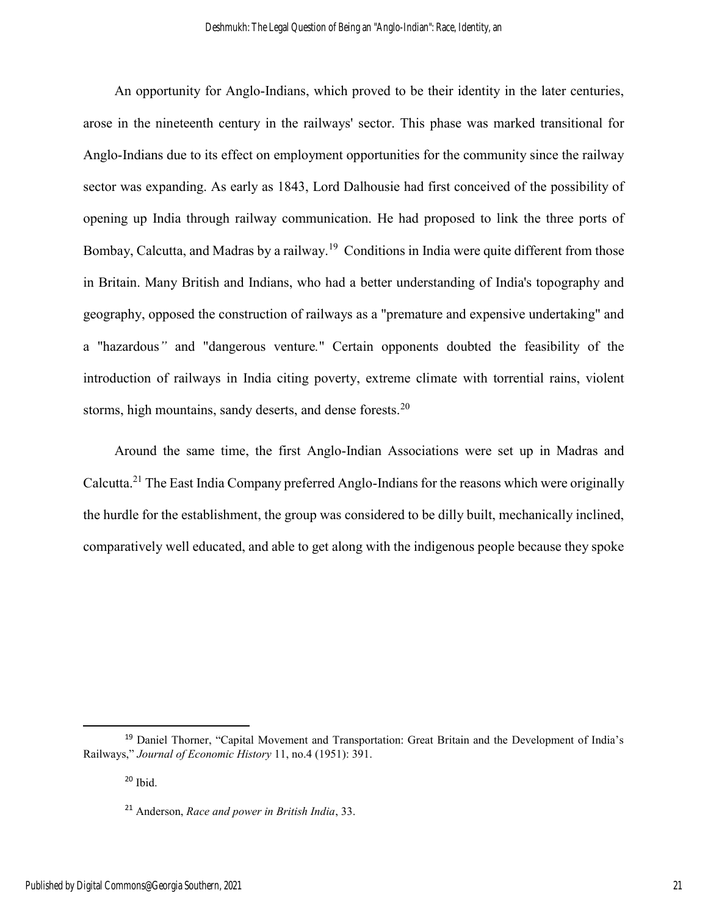An opportunity for Anglo-Indians, which proved to be their identity in the later centuries, arose in the nineteenth century in the railways' sector. This phase was marked transitional for Anglo-Indians due to its effect on employment opportunities for the community since the railway sector was expanding. As early as 1843, Lord Dalhousie had first conceived of the possibility of opening up India through railway communication. He had proposed to link the three ports of Bombay, Calcutta, and Madras by a railway.<sup>19</sup> Conditions in India were quite different from those in Britain. Many British and Indians, who had a better understanding of India's topography and geography, opposed the construction of railways as a "premature and expensive undertaking" and a "hazardous*"* and "dangerous venture*.*" Certain opponents doubted the feasibility of the introduction of railways in India citing poverty, extreme climate with torrential rains, violent storms, high mountains, sandy deserts, and dense forests.<sup>20</sup>

 Around the same time, the first Anglo-Indian Associations were set up in Madras and Calcutta.<sup>21</sup> The East India Company preferred Anglo-Indians for the reasons which were originally the hurdle for the establishment, the group was considered to be dilly built, mechanically inclined, comparatively well educated, and able to get along with the indigenous people because they spoke

 $\overline{a}$ 

<sup>&</sup>lt;sup>19</sup> Daniel Thorner, "Capital Movement and Transportation: Great Britain and the Development of India's Railways," *Journal of Economic History* 11, no.4 (1951): 391.

 $20$  Ibid.

<sup>21</sup> Anderson, *Race and power in British India*, 33.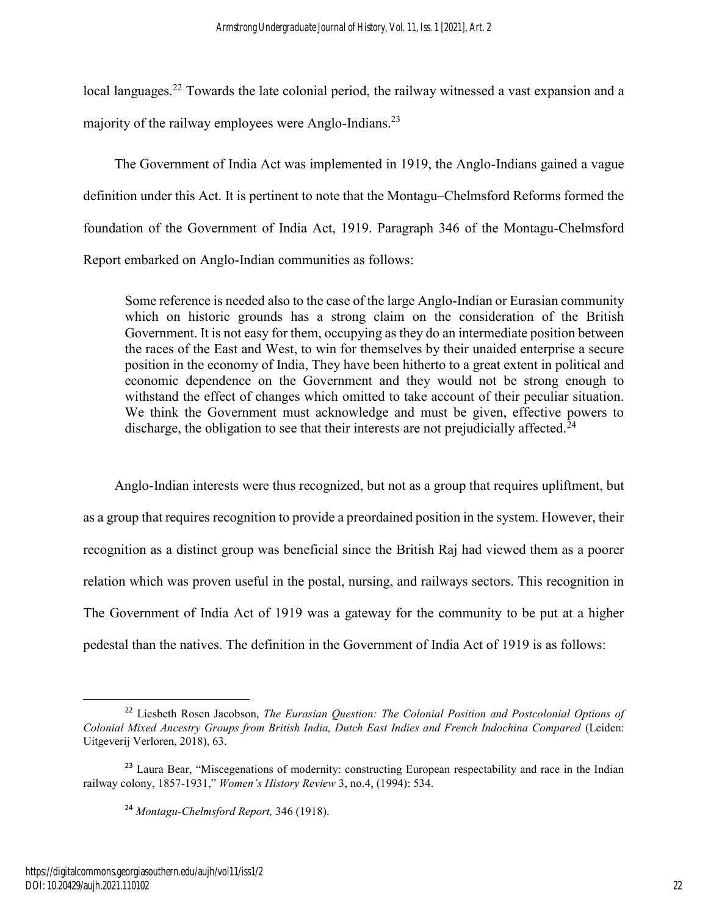local languages.<sup>22</sup> Towards the late colonial period, the railway witnessed a vast expansion and a majority of the railway employees were Anglo-Indians.<sup>23</sup>

 The Government of India Act was implemented in 1919, the Anglo-Indians gained a vague definition under this Act. It is pertinent to note that the Montagu–Chelmsford Reforms formed the foundation of the Government of India Act, 1919. Paragraph 346 of the Montagu-Chelmsford Report embarked on Anglo-Indian communities as follows:

Some reference is needed also to the case of the large Anglo-Indian or Eurasian community which on historic grounds has a strong claim on the consideration of the British Government. It is not easy for them, occupying as they do an intermediate position between the races of the East and West, to win for themselves by their unaided enterprise a secure position in the economy of India, They have been hitherto to a great extent in political and economic dependence on the Government and they would not be strong enough to withstand the effect of changes which omitted to take account of their peculiar situation. We think the Government must acknowledge and must be given, effective powers to discharge, the obligation to see that their interests are not prejudicially affected.<sup>24</sup>

 Anglo-Indian interests were thus recognized, but not as a group that requires upliftment, but as a group that requires recognition to provide a preordained position in the system. However, their recognition as a distinct group was beneficial since the British Raj had viewed them as a poorer relation which was proven useful in the postal, nursing, and railways sectors. This recognition in The Government of India Act of 1919 was a gateway for the community to be put at a higher pedestal than the natives. The definition in the Government of India Act of 1919 is as follows:

<sup>22</sup> Liesbeth Rosen Jacobson, *The Eurasian Question: The Colonial Position and Postcolonial Options of Colonial Mixed Ancestry Groups from British India, Dutch East Indies and French Indochina Compared* (Leiden: Uitgeverij Verloren, 2018), 63.

<sup>&</sup>lt;sup>23</sup> Laura Bear, "Miscegenations of modernity: constructing European respectability and race in the Indian railway colony, 1857-1931," *Women's History Review* 3, no.4, (1994): 534.

<sup>24</sup> *Montagu-Chelmsford Report,* 346 (1918).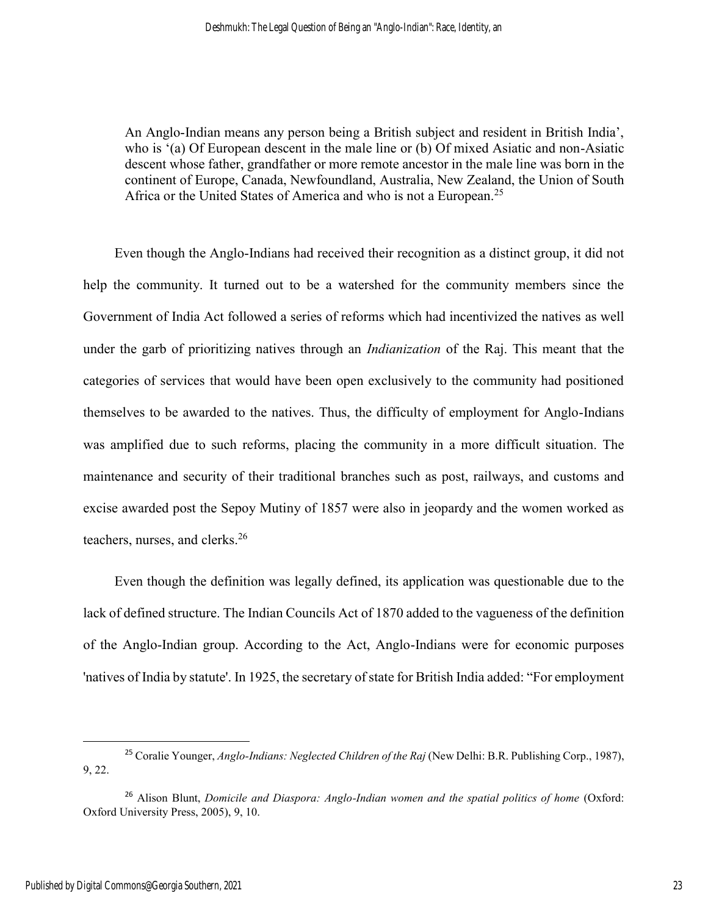An Anglo-Indian means any person being a British subject and resident in British India', who is '(a) Of European descent in the male line or (b) Of mixed Asiatic and non-Asiatic descent whose father, grandfather or more remote ancestor in the male line was born in the continent of Europe, Canada, Newfoundland, Australia, New Zealand, the Union of South Africa or the United States of America and who is not a European.<sup>25</sup>

 Even though the Anglo-Indians had received their recognition as a distinct group, it did not help the community. It turned out to be a watershed for the community members since the Government of India Act followed a series of reforms which had incentivized the natives as well under the garb of prioritizing natives through an *Indianization* of the Raj. This meant that the categories of services that would have been open exclusively to the community had positioned themselves to be awarded to the natives. Thus, the difficulty of employment for Anglo-Indians was amplified due to such reforms, placing the community in a more difficult situation. The maintenance and security of their traditional branches such as post, railways, and customs and excise awarded post the Sepoy Mutiny of 1857 were also in jeopardy and the women worked as teachers, nurses, and clerks.<sup>26</sup>

 Even though the definition was legally defined, its application was questionable due to the lack of defined structure. The Indian Councils Act of 1870 added to the vagueness of the definition of the Anglo-Indian group. According to the Act, Anglo-Indians were for economic purposes 'natives of India by statute'. In 1925, the secretary of state for British India added: "For employment

 $\overline{a}$ 

<sup>25</sup> Coralie Younger, *Anglo-Indians: Neglected Children of the Raj* (New Delhi: B.R. Publishing Corp., 1987), 9, 22.

<sup>26</sup> Alison Blunt, *Domicile and Diaspora: Anglo-Indian women and the spatial politics of home* (Oxford: Oxford University Press, 2005), 9, 10.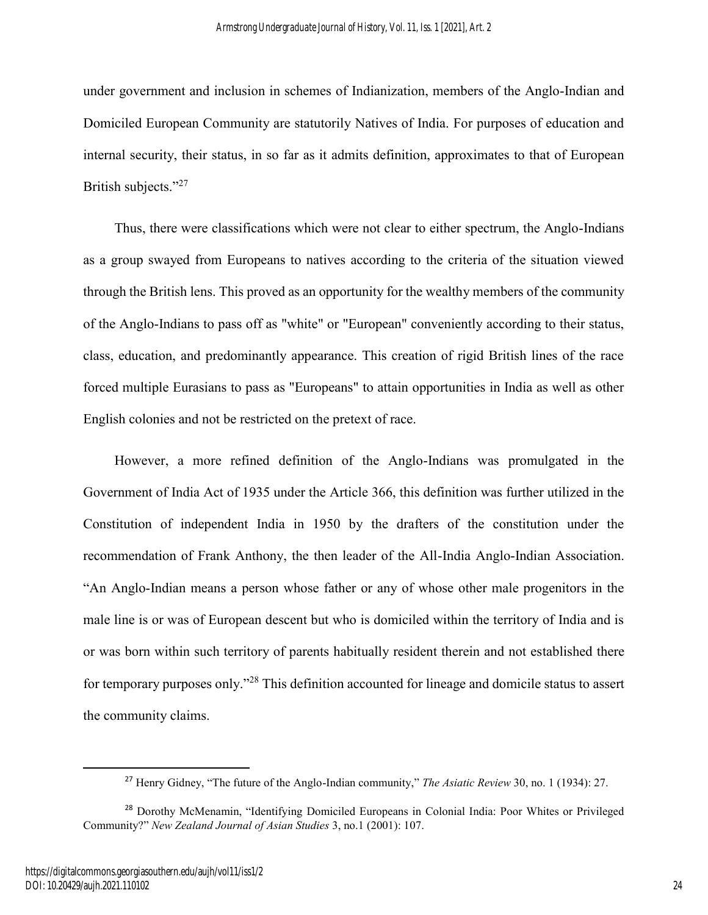under government and inclusion in schemes of Indianization, members of the Anglo-Indian and Domiciled European Community are statutorily Natives of India. For purposes of education and internal security, their status, in so far as it admits definition, approximates to that of European British subjects."<sup>27</sup>

 Thus, there were classifications which were not clear to either spectrum, the Anglo-Indians as a group swayed from Europeans to natives according to the criteria of the situation viewed through the British lens. This proved as an opportunity for the wealthy members of the community of the Anglo-Indians to pass off as "white" or "European" conveniently according to their status, class, education, and predominantly appearance. This creation of rigid British lines of the race forced multiple Eurasians to pass as "Europeans" to attain opportunities in India as well as other English colonies and not be restricted on the pretext of race.

 However, a more refined definition of the Anglo-Indians was promulgated in the Government of India Act of 1935 under the Article 366, this definition was further utilized in the Constitution of independent India in 1950 by the drafters of the constitution under the recommendation of Frank Anthony, the then leader of the All-India Anglo-Indian Association. "An Anglo-Indian means a person whose father or any of whose other male progenitors in the male line is or was of European descent but who is domiciled within the territory of India and is or was born within such territory of parents habitually resident therein and not established there for temporary purposes only."<sup>28</sup> This definition accounted for lineage and domicile status to assert the community claims.

<sup>27</sup> Henry Gidney, "The future of the Anglo-Indian community," *The Asiatic Review* 30, no. 1 (1934): 27.

<sup>28</sup> Dorothy McMenamin, "Identifying Domiciled Europeans in Colonial India: Poor Whites or Privileged Community?" *New Zealand Journal of Asian Studies* 3, no.1 (2001): 107.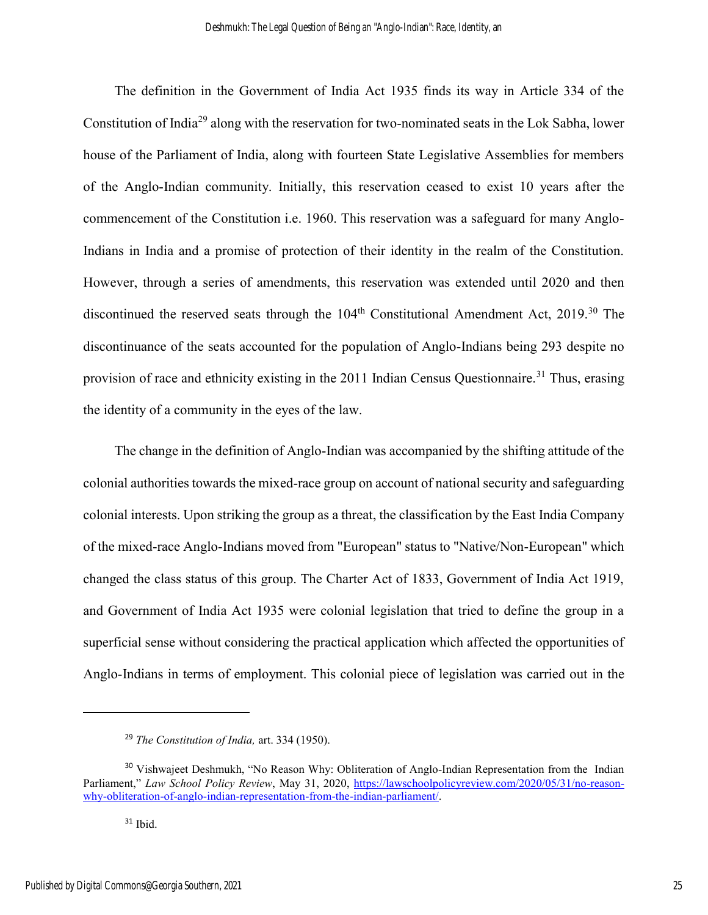The definition in the Government of India Act 1935 finds its way in Article 334 of the Constitution of India<sup>29</sup> along with the reservation for two-nominated seats in the Lok Sabha, lower house of the Parliament of India, along with fourteen State Legislative Assemblies for members of the Anglo-Indian community. Initially, this reservation ceased to exist 10 years after the commencement of the Constitution i.e. 1960. This reservation was a safeguard for many Anglo-Indians in India and a promise of protection of their identity in the realm of the Constitution. However, through a series of amendments, this reservation was extended until 2020 and then discontinued the reserved seats through the  $104<sup>th</sup>$  Constitutional Amendment Act, 2019.<sup>30</sup> The discontinuance of the seats accounted for the population of Anglo-Indians being 293 despite no provision of race and ethnicity existing in the 2011 Indian Census Questionnaire.<sup>31</sup> Thus, erasing the identity of a community in the eyes of the law.

 The change in the definition of Anglo-Indian was accompanied by the shifting attitude of the colonial authorities towards the mixed-race group on account of national security and safeguarding colonial interests. Upon striking the group as a threat, the classification by the East India Company of the mixed-race Anglo-Indians moved from "European" status to "Native/Non-European" which changed the class status of this group. The Charter Act of 1833, Government of India Act 1919, and Government of India Act 1935 were colonial legislation that tried to define the group in a superficial sense without considering the practical application which affected the opportunities of Anglo-Indians in terms of employment. This colonial piece of legislation was carried out in the

<sup>29</sup> *The Constitution of India,* art. 334 (1950).

<sup>&</sup>lt;sup>30</sup> Vishwajeet Deshmukh, "No Reason Why: Obliteration of Anglo-Indian Representation from the Indian Parliament," *Law School Policy Review*, May 31, 2020, [https://lawschoolpolicyreview.com/2020/05/31/no-reason](https://lawschoolpolicyreview.com/2020/05/31/no-reason-why-obliteration-of-anglo-indian-representation-from-the-indian-parliament/)[why-obliteration-of-anglo-indian-representation-from-the-indian-parliament/.](https://lawschoolpolicyreview.com/2020/05/31/no-reason-why-obliteration-of-anglo-indian-representation-from-the-indian-parliament/)

 $31$  Ibid.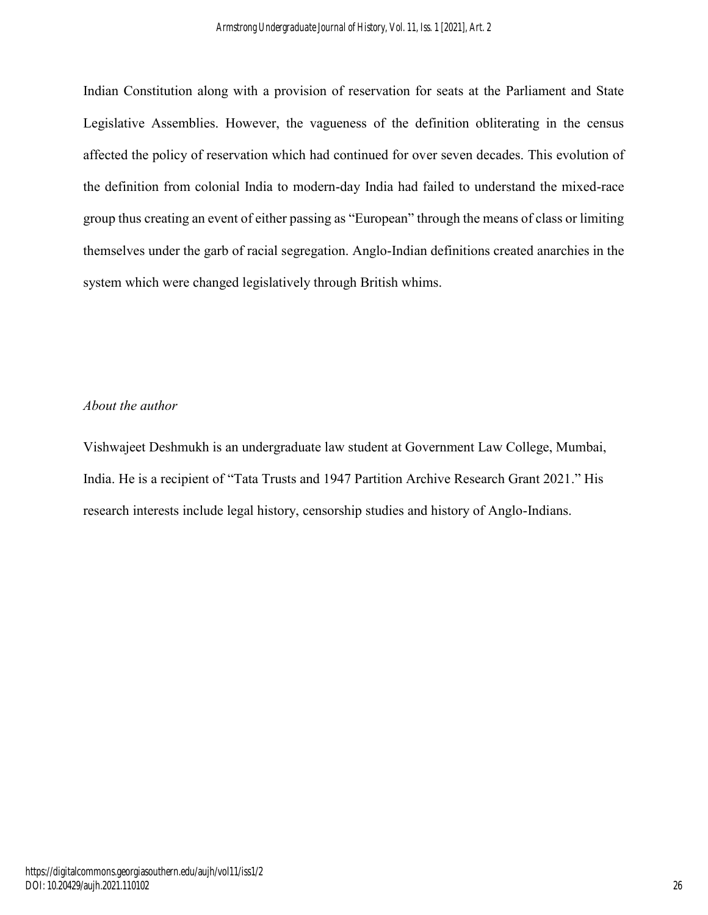Indian Constitution along with a provision of reservation for seats at the Parliament and State Legislative Assemblies. However, the vagueness of the definition obliterating in the census affected the policy of reservation which had continued for over seven decades. This evolution of the definition from colonial India to modern-day India had failed to understand the mixed-race group thus creating an event of either passing as "European" through the means of class or limiting themselves under the garb of racial segregation. Anglo-Indian definitions created anarchies in the system which were changed legislatively through British whims.

## *About the author*

Vishwajeet Deshmukh is an undergraduate law student at Government Law College, Mumbai, India. He is a recipient of "Tata Trusts and 1947 Partition Archive Research Grant 2021." His research interests include legal history, censorship studies and history of Anglo-Indians.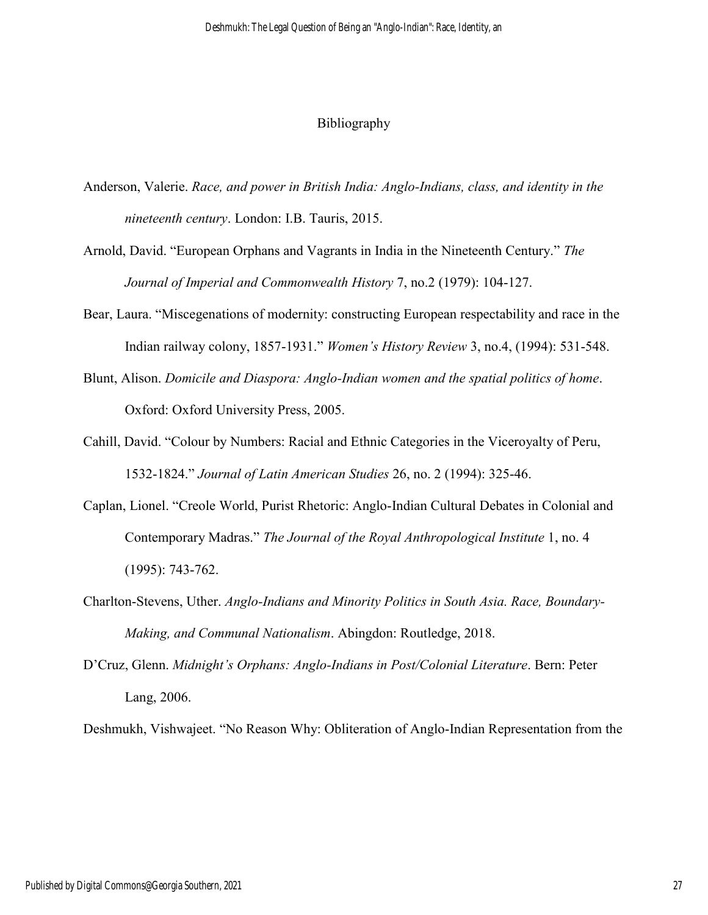### Bibliography

- Anderson, Valerie. *Race, and power in British India: Anglo-Indians, class, and identity in the nineteenth century*. London: I.B. Tauris, 2015.
- Arnold, David. "European Orphans and Vagrants in India in the Nineteenth Century." *The Journal of Imperial and Commonwealth History* 7, no.2 (1979): 104-127.
- Bear, Laura. "Miscegenations of modernity: constructing European respectability and race in the Indian railway colony, 1857-1931." *Women's History Review* 3, no.4, (1994): 531-548.
- Blunt, Alison. *Domicile and Diaspora: Anglo-Indian women and the spatial politics of home*. Oxford: Oxford University Press, 2005.
- Cahill, David. "Colour by Numbers: Racial and Ethnic Categories in the Viceroyalty of Peru, 1532-1824." *Journal of Latin American Studies* 26, no. 2 (1994): 325-46.
- Caplan, Lionel. "Creole World, Purist Rhetoric: Anglo-Indian Cultural Debates in Colonial and Contemporary Madras." *The Journal of the Royal Anthropological Institute* 1, no. 4 (1995): 743-762.
- Charlton-Stevens, Uther. *Anglo-Indians and Minority Politics in South Asia. Race, Boundary-Making, and Communal Nationalism*. Abingdon: Routledge, 2018.
- D'Cruz, Glenn. *Midnight's Orphans: Anglo-Indians in Post/Colonial Literature*. Bern: Peter Lang, 2006.

Deshmukh, Vishwajeet. "No Reason Why: Obliteration of Anglo-Indian Representation from the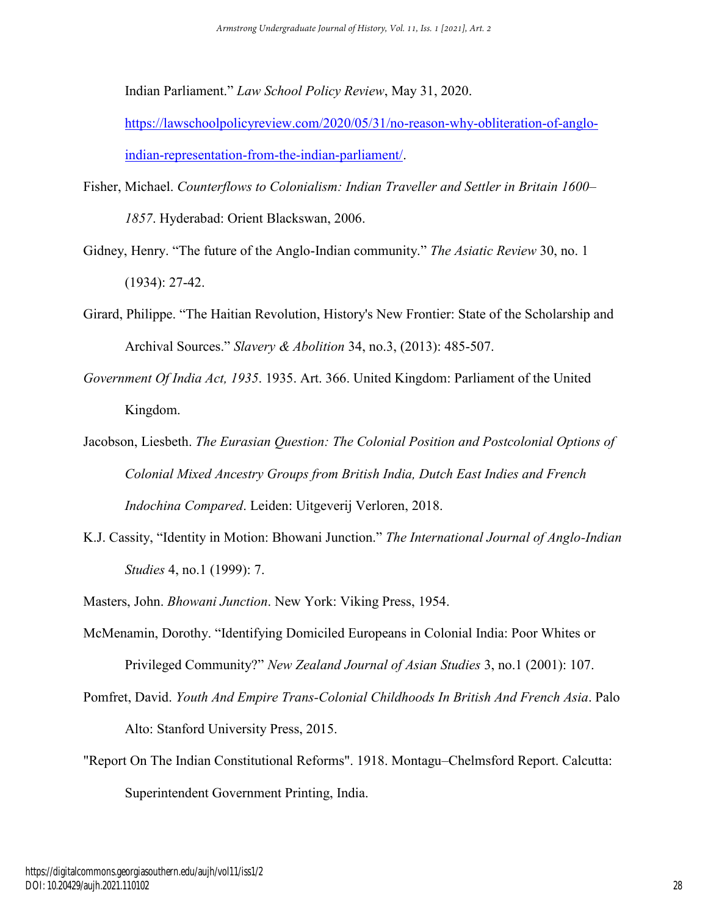Indian Parliament." *Law School Policy Review*, May 31, 2020[.](https://lawschoolpolicyreview.com/2020/05/31/no-reason-why-obliteration-of-anglo-indian-representation-from-the-indian-parliament/) 

[https://lawschoolpolicyreview.com/2020/05/31/no-reason-why-obliteration-of-anglo](https://lawschoolpolicyreview.com/2020/05/31/no-reason-why-obliteration-of-anglo-indian-representation-from-the-indian-parliament/)[indian-representation-from-the-indian-parliament/.](https://lawschoolpolicyreview.com/2020/05/31/no-reason-why-obliteration-of-anglo-indian-representation-from-the-indian-parliament/)

- Fisher, Michael. *Counterflows to Colonialism: Indian Traveller and Settler in Britain 1600– 1857*. Hyderabad: Orient Blackswan, 2006.
- Gidney, Henry. "The future of the Anglo-Indian community." *The Asiatic Review* 30, no. 1 (1934): 27-42.
- Girard, Philippe. "The Haitian Revolution, History's New Frontier: State of the Scholarship and Archival Sources." *Slavery & Abolition* 34, no.3, (2013): 485-507.
- *Government Of India Act, 1935*. 1935. Art. 366. United Kingdom: Parliament of the United Kingdom.
- Jacobson, Liesbeth. *The Eurasian Question: The Colonial Position and Postcolonial Options of Colonial Mixed Ancestry Groups from British India, Dutch East Indies and French Indochina Compared*. Leiden: Uitgeverij Verloren, 2018.
- K.J. Cassity, "Identity in Motion: Bhowani Junction." *The International Journal of Anglo-Indian Studies* 4, no.1 (1999): 7.
- Masters, John. *Bhowani Junction*. New York: Viking Press, 1954.
- McMenamin, Dorothy. "Identifying Domiciled Europeans in Colonial India: Poor Whites or Privileged Community?" *New Zealand Journal of Asian Studies* 3, no.1 (2001): 107.
- Pomfret, David. *Youth And Empire Trans-Colonial Childhoods In British And French Asia*. Palo Alto: Stanford University Press, 2015.
- "Report On The Indian Constitutional Reforms". 1918. Montagu–Chelmsford Report. Calcutta: Superintendent Government Printing, India.